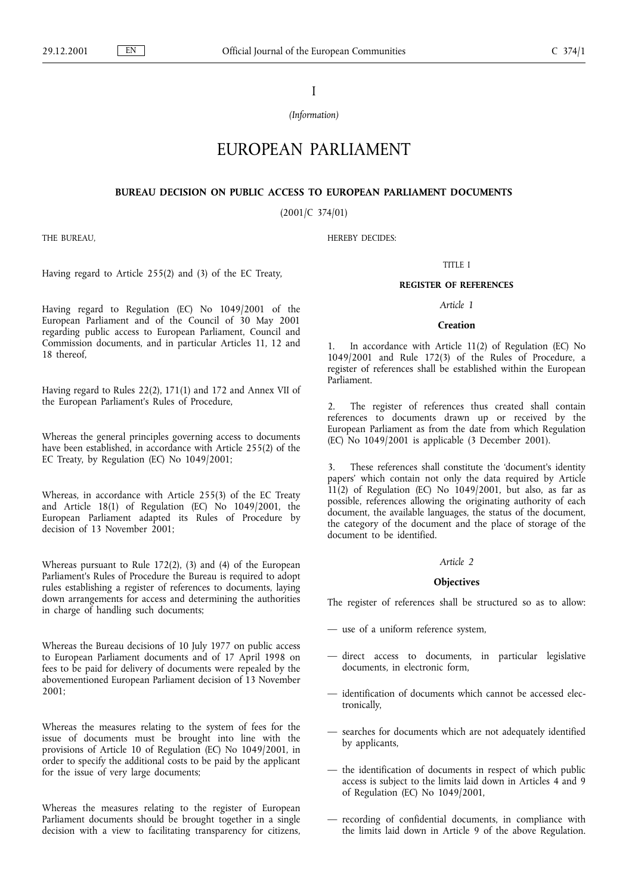I

(Information)

# EUROPEAN PARLIAMENT

# BUREAU DECISION ON PUBLIC ACCESS TO EUROPEAN PARLIAMENT DOCUMENTS

(2001/C 374/01)

HEREBY DECIDES:

THE BUREAU,

Having regard to Article 255(2) and (3) of the EC Treaty,

Having regard to Regulation (EC) No 1049/2001 of the European Parliament and of the Council of 30 May 2001 regarding public access to European Parliament, Council and Commission documents, and in particular Articles 11, 12 and 18 thereof,

Having regard to Rules 22(2), 171(1) and 172 and Annex VII of the European Parliament's Rules of Procedure,

Whereas the general principles governing access to documents have been established, in accordance with Article 255(2) of the EC Treaty, by Regulation (EC) No 1049/2001;

Whereas, in accordance with Article 255(3) of the EC Treaty and Article 18(1) of Regulation (EC) No 1049/2001, the European Parliament adapted its Rules of Procedure by decision of 13 November 2001;

Whereas pursuant to Rule 172(2), (3) and (4) of the European Parliament's Rules of Procedure the Bureau is required to adopt rules establishing a register of references to documents, laying down arrangements for access and determining the authorities in charge of handling such documents;

Whereas the Bureau decisions of 10 July 1977 on public access to European Parliament documents and of 17 April 1998 on fees to be paid for delivery of documents were repealed by the abovementioned European Parliament decision of 13 November 2001;

Whereas the measures relating to the system of fees for the issue of documents must be brought into line with the provisions of Article 10 of Regulation (EC) No 1049/2001, in order to specify the additional costs to be paid by the applicant for the issue of very large documents;

Whereas the measures relating to the register of European Parliament documents should be brought together in a single decision with a view to facilitating transparency for citizens,

# TITLE I

# REGISTER OF REFERENCES

#### Article 1

#### **Creation**

1. In accordance with Article 11(2) of Regulation (EC) No 1049/2001 and Rule 172(3) of the Rules of Procedure, a register of references shall be established within the European Parliament.

2. The register of references thus created shall contain references to documents drawn up or received by the European Parliament as from the date from which Regulation (EC) No 1049/2001 is applicable (3 December 2001).

3. These references shall constitute the 'document's identity papers' which contain not only the data required by Article 11(2) of Regulation (EC) No 1049/2001, but also, as far as possible, references allowing the originating authority of each document, the available languages, the status of the document, the category of the document and the place of storage of the document to be identified.

## Article 2

## **Objectives**

The register of references shall be structured so as to allow:

- use of a uniform reference system,
- direct access to documents, in particular legislative documents, in electronic form,
- $-$  identification of documents which cannot be accessed electronically,
- searches for documents which are not adequately identified by applicants,
- the identification of documents in respect of which public access is subject to the limits laid down in Articles 4 and 9 of Regulation (EC) No 1049/2001,
- recording of confidential documents, in compliance with the limits laid down in Article 9 of the above Regulation.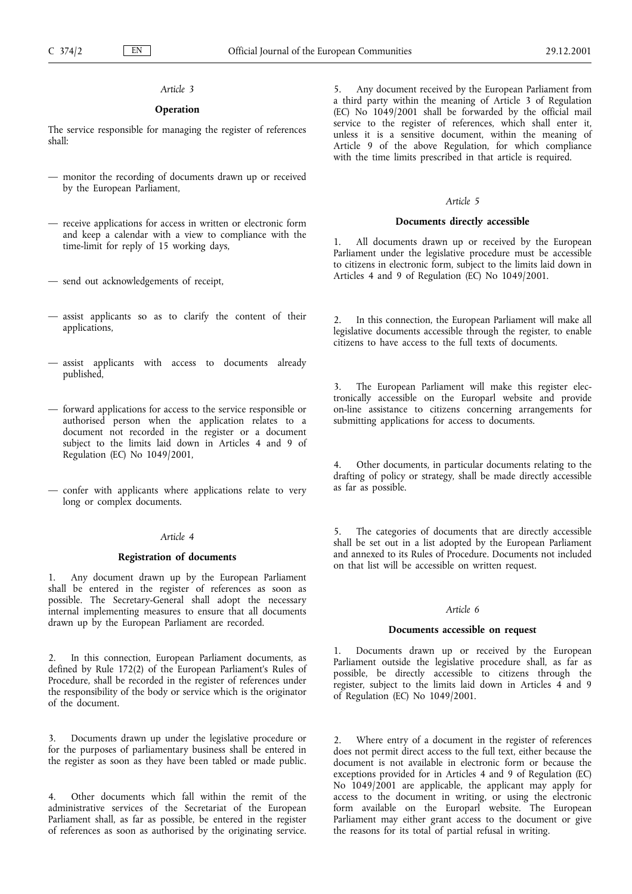# Article 3

# **Operation**

The service responsible for managing the register of references shall:

- monitor the recording of documents drawn up or received by the European Parliament,
- receive applications for access in written or electronic form and keep a calendar with a view to compliance with the time-limit for reply of 15 working days,
- send out acknowledgements of receipt,
- assist applicants so as to clarify the content of their applications,
- assist applicants with access to documents already published,
- $-$  forward applications for access to the service responsible or authorised person when the application relates to a document not recorded in the register or a document subject to the limits laid down in Articles 4 and 9 of Regulation (EC) No 1049/2001,
- confer with applicants where applications relate to very long or complex documents.

## Article 4

## Registration of documents

1. Any document drawn up by the European Parliament shall be entered in the register of references as soon as possible. The Secretary-General shall adopt the necessary internal implementing measures to ensure that all documents drawn up by the European Parliament are recorded.

2. In this connection, European Parliament documents, as defined by Rule 172(2) of the European Parliament's Rules of Procedure, shall be recorded in the register of references under the responsibility of the body or service which is the originator of the document.

3. Documents drawn up under the legislative procedure or for the purposes of parliamentary business shall be entered in the register as soon as they have been tabled or made public.

4. Other documents which fall within the remit of the administrative services of the Secretariat of the European Parliament shall, as far as possible, be entered in the register of references as soon as authorised by the originating service.

5. Any document received by the European Parliament from a third party within the meaning of Article 3 of Regulation (EC) No 1049/2001 shall be forwarded by the official mail service to the register of references, which shall enter it, unless it is a sensitive document, within the meaning of Article 9 of the above Regulation, for which compliance with the time limits prescribed in that article is required.

#### Article 5

## Documents directly accessible

1. All documents drawn up or received by the European Parliament under the legislative procedure must be accessible to citizens in electronic form, subject to the limits laid down in Articles 4 and 9 of Regulation (EC) No 1049/2001.

In this connection, the European Parliament will make all legislative documents accessible through the register, to enable citizens to have access to the full texts of documents.

The European Parliament will make this register electronically accessible on the Europarl website and provide on-line assistance to citizens concerning arrangements for submitting applications for access to documents.

Other documents, in particular documents relating to the drafting of policy or strategy, shall be made directly accessible as far as possible.

5. The categories of documents that are directly accessible shall be set out in a list adopted by the European Parliament and annexed to its Rules of Procedure. Documents not included on that list will be accessible on written request.

## Article 6

#### Documents accessible on request

1. Documents drawn up or received by the European Parliament outside the legislative procedure shall, as far as possible, be directly accessible to citizens through the register, subject to the limits laid down in Articles 4 and 9 of Regulation (EC) No 1049/2001.

2. Where entry of a document in the register of references does not permit direct access to the full text, either because the document is not available in electronic form or because the exceptions provided for in Articles 4 and 9 of Regulation (EC) No 1049/2001 are applicable, the applicant may apply for access to the document in writing, or using the electronic form available on the Europarl website. The European Parliament may either grant access to the document or give the reasons for its total of partial refusal in writing.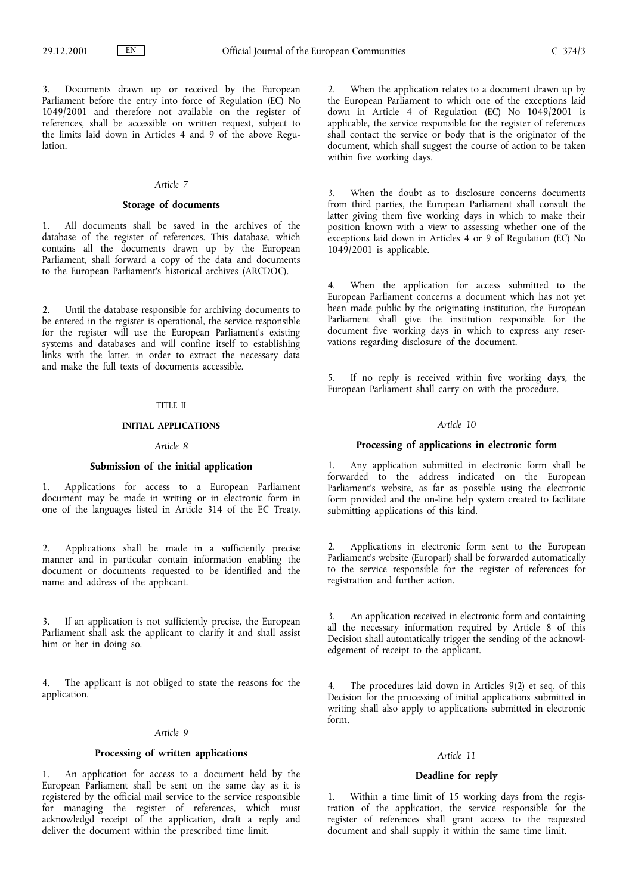3. Documents drawn up or received by the European Parliament before the entry into force of Regulation (EC) No 1049/2001 and therefore not available on the register of references, shall be accessible on written request, subject to the limits laid down in Articles 4 and 9 of the above Regulation.

#### Article 7

# Storage of documents

1. All documents shall be saved in the archives of the database of the register of references. This database, which contains all the documents drawn up by the European Parliament, shall forward a copy of the data and documents to the European Parliament's historical archives (ARCDOC).

2. Until the database responsible for archiving documents to be entered in the register is operational, the service responsible for the register will use the European Parliament's existing systems and databases and will confine itself to establishing links with the latter, in order to extract the necessary data and make the full texts of documents accessible.

### TITLE II

## INITIAL APPLICATIONS

## Article 8

## Submission of the initial application

1. Applications for access to a European Parliament document may be made in writing or in electronic form in one of the languages listed in Article 314 of the EC Treaty.

2. Applications shall be made in a sufficiently precise manner and in particular contain information enabling the document or documents requested to be identified and the name and address of the applicant.

3. If an application is not sufficiently precise, the European Parliament shall ask the applicant to clarify it and shall assist him or her in doing so.

4. The applicant is not obliged to state the reasons for the application.

#### Article 9

## Processing of written applications

1. An application for access to a document held by the European Parliament shall be sent on the same day as it is registered by the official mail service to the service responsible for managing the register of references, which must acknowledgd receipt of the application, draft a reply and deliver the document within the prescribed time limit.

When the application relates to a document drawn up by the European Parliament to which one of the exceptions laid down in Article 4 of Regulation (EC) No 1049/2001 is applicable, the service responsible for the register of references shall contact the service or body that is the originator of the document, which shall suggest the course of action to be taken within five working days.

3. When the doubt as to disclosure concerns documents from third parties, the European Parliament shall consult the latter giving them five working days in which to make their position known with a view to assessing whether one of the exceptions laid down in Articles 4 or 9 of Regulation (EC) No  $1049/2001$  is applicable.

4. When the application for access submitted to the European Parliament concerns a document which has not yet been made public by the originating institution, the European Parliament shall give the institution responsible for the document five working days in which to express any reservations regarding disclosure of the document.

5. If no reply is received within five working days, the European Parliament shall carry on with the procedure.

# Article 10

## Processing of applications in electronic form

1. Any application submitted in electronic form shall be forwarded to the address indicated on the European Parliament's website, as far as possible using the electronic form provided and the on-line help system created to facilitate submitting applications of this kind.

2. Applications in electronic form sent to the European Parliament's website (Europarl) shall be forwarded automatically to the service responsible for the register of references for registration and further action.

An application received in electronic form and containing all the necessary information required by Article 8 of this Decision shall automatically trigger the sending of the acknowledgement of receipt to the applicant.

4. The procedures laid down in Articles 9(2) et seq. of this Decision for the processing of initial applications submitted in writing shall also apply to applications submitted in electronic form.

#### Article 11

# Deadline for reply

1. Within a time limit of 15 working days from the registration of the application, the service responsible for the register of references shall grant access to the requested document and shall supply it within the same time limit.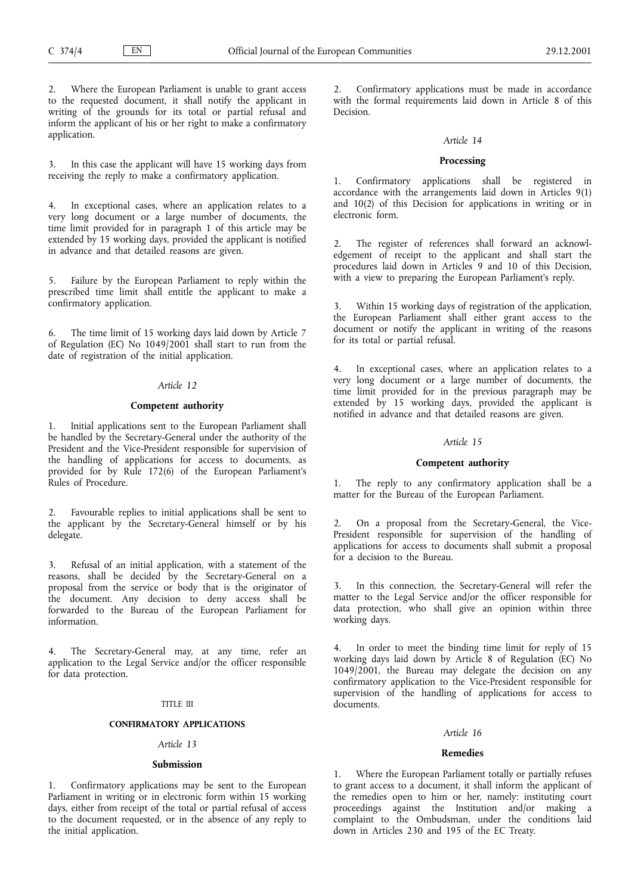2. Where the European Parliament is unable to grant access to the requested document, it shall notify the applicant in writing of the grounds for its total or partial refusal and inform the applicant of his or her right to make a confirmatory application.

3. In this case the applicant will have 15 working days from receiving the reply to make a confirmatory application.

In exceptional cases, where an application relates to a very long document or a large number of documents, the time limit provided for in paragraph 1 of this article may be extended by 15 working days, provided the applicant is notified in advance and that detailed reasons are given.

5. Failure by the European Parliament to reply within the prescribed time limit shall entitle the applicant to make a confirmatory application.

6. The time limit of 15 working days laid down by Article 7 of Regulation (EC) No 1049/2001 shall start to run from the date of registration of the initial application.

## Article 12

## Competent authority

1. Initial applications sent to the European Parliament shall be handled by the Secretary-General under the authority of the President and the Vice-President responsible for supervision of the handling of applications for access to documents, as provided for by Rule 172(6) of the European Parliament's Rules of Procedure.

2. Favourable replies to initial applications shall be sent to the applicant by the Secretary-General himself or by his delegate.

3. Refusal of an initial application, with a statement of the reasons, shall be decided by the Secretary-General on a proposal from the service or body that is the originator of the document. Any decision to deny access shall be forwarded to the Bureau of the European Parliament for information.

4. The Secretary-General may, at any time, refer an application to the Legal Service and/or the officer responsible for data protection.

## TITLE III

#### CONFIRMATORY APPLICATIONS

#### Article 13

#### Submission

Confirmatory applications may be sent to the European Parliament in writing or in electronic form within 15 working days, either from receipt of the total or partial refusal of access to the document requested, or in the absence of any reply to the initial application.

2. Confirmatory applications must be made in accordance with the formal requirements laid down in Article 8 of this Decision.

#### Article 14

## Processing

1. Confirmatory applications shall be registered in accordance with the arrangements laid down in Articles 9(1) and 10(2) of this Decision for applications in writing or in electronic form.

The register of references shall forward an acknowledgement of receipt to the applicant and shall start the procedures laid down in Articles 9 and 10 of this Decision, with a view to preparing the European Parliament's reply.

Within 15 working days of registration of the application, the European Parliament shall either grant access to the document or notify the applicant in writing of the reasons for its total or partial refusal.

4. In exceptional cases, where an application relates to a very long document or a large number of documents, the time limit provided for in the previous paragraph may be extended by 15 working days, provided the applicant is notified in advance and that detailed reasons are given.

# Article 15

## Competent authority

1. The reply to any confirmatory application shall be a matter for the Bureau of the European Parliament.

2. On a proposal from the Secretary-General, the Vice-President responsible for supervision of the handling of applications for access to documents shall submit a proposal for a decision to the Bureau.

3. In this connection, the Secretary-General will refer the matter to the Legal Service and/or the officer responsible for data protection, who shall give an opinion within three working days.

4. In order to meet the binding time limit for reply of 15 working days laid down by Article 8 of Regulation (EC) No 1049/2001, the Bureau may delegate the decision on any confirmatory application to the Vice-President responsible for supervision of the handling of applications for access to documents.

#### Article 16

#### Remedies

Where the European Parliament totally or partially refuses to grant access to a document, it shall inform the applicant of the remedies open to him or her, namely: instituting court proceedings against the Institution and/or making a complaint to the Ombudsman, under the conditions laid down in Articles 230 and 195 of the EC Treaty.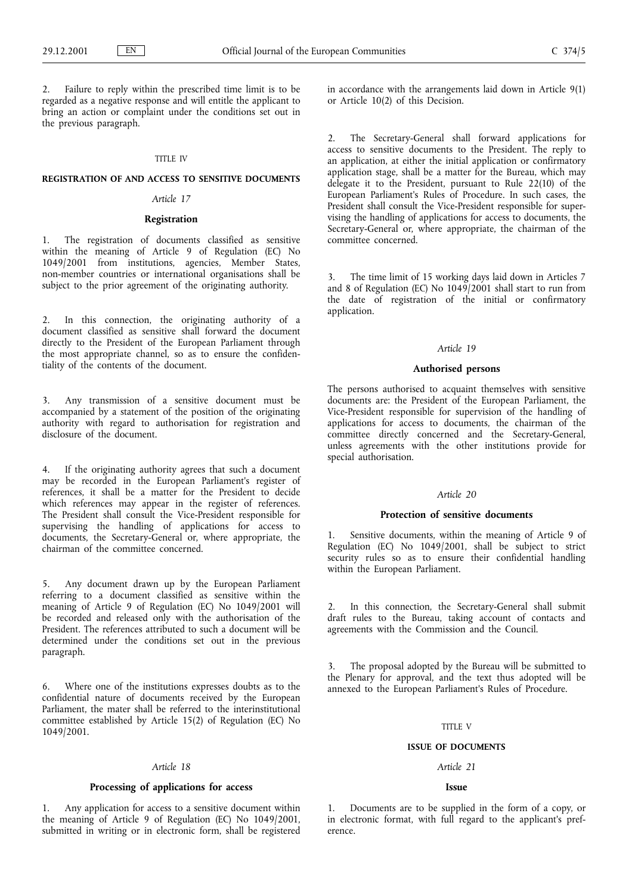Failure to reply within the prescribed time limit is to be regarded as a negative response and will entitle the applicant to bring an action or complaint under the conditions set out in the previous paragraph.

## TITLE IV

# REGISTRATION OF AND ACCESS TO SENSITIVE DOCUMENTS

## Article 17

# Registration

1. The registration of documents classified as sensitive within the meaning of Article 9 of Regulation (EC) No 1049/2001 from institutions, agencies, Member States, non-member countries or international organisations shall be subject to the prior agreement of the originating authority.

2. In this connection, the originating authority of a document classified as sensitive shall forward the document directly to the President of the European Parliament through the most appropriate channel, so as to ensure the confidentiality of the contents of the document.

3. Any transmission of a sensitive document must be accompanied by a statement of the position of the originating authority with regard to authorisation for registration and disclosure of the document.

4. If the originating authority agrees that such a document may be recorded in the European Parliament's register of references, it shall be a matter for the President to decide which references may appear in the register of references. The President shall consult the Vice-President responsible for supervising the handling of applications for access to documents, the Secretary-General or, where appropriate, the chairman of the committee concerned.

5. Any document drawn up by the European Parliament referring to a document classified as sensitive within the meaning of Article 9 of Regulation (EC) No 1049/2001 will be recorded and released only with the authorisation of the President. The references attributed to such a document will be determined under the conditions set out in the previous paragraph.

6. Where one of the institutions expresses doubts as to the confidential nature of documents received by the European Parliament, the mater shall be referred to the interinstitutional committee established by Article 15(2) of Regulation (EC) No 1049/2001.

### Article 18

# Processing of applications for access

1. Any application for access to a sensitive document within the meaning of Article 9 of Regulation (EC) No 1049/2001, submitted in writing or in electronic form, shall be registered in accordance with the arrangements laid down in Article 9(1) or Article 10(2) of this Decision.

2. The Secretary-General shall forward applications for access to sensitive documents to the President. The reply to an application, at either the initial application or confirmatory application stage, shall be a matter for the Bureau, which may delegate it to the President, pursuant to Rule 22(10) of the European Parliament's Rules of Procedure. In such cases, the President shall consult the Vice-President responsible for supervising the handling of applications for access to documents, the Secretary-General or, where appropriate, the chairman of the committee concerned.

3. The time limit of 15 working days laid down in Articles 7 and 8 of Regulation (EC) No 1049/2001 shall start to run from the date of registration of the initial or confirmatory application.

#### Article 19

## Authorised persons

The persons authorised to acquaint themselves with sensitive documents are: the President of the European Parliament, the Vice-President responsible for supervision of the handling of applications for access to documents, the chairman of the committee directly concerned and the Secretary-General, unless agreements with the other institutions provide for special authorisation.

# Article 20

#### Protection of sensitive documents

1. Sensitive documents, within the meaning of Article 9 of Regulation (EC) No 1049/2001, shall be subject to strict security rules so as to ensure their confidential handling within the European Parliament.

In this connection, the Secretary-General shall submit draft rules to the Bureau, taking account of contacts and agreements with the Commission and the Council.

The proposal adopted by the Bureau will be submitted to the Plenary for approval, and the text thus adopted will be annexed to the European Parliament's Rules of Procedure.

## TITLE V

#### ISSUE OF DOCUMENTS

## Article 21

#### Issue

1. Documents are to be supplied in the form of a copy, or in electronic format, with full regard to the applicant's preference.